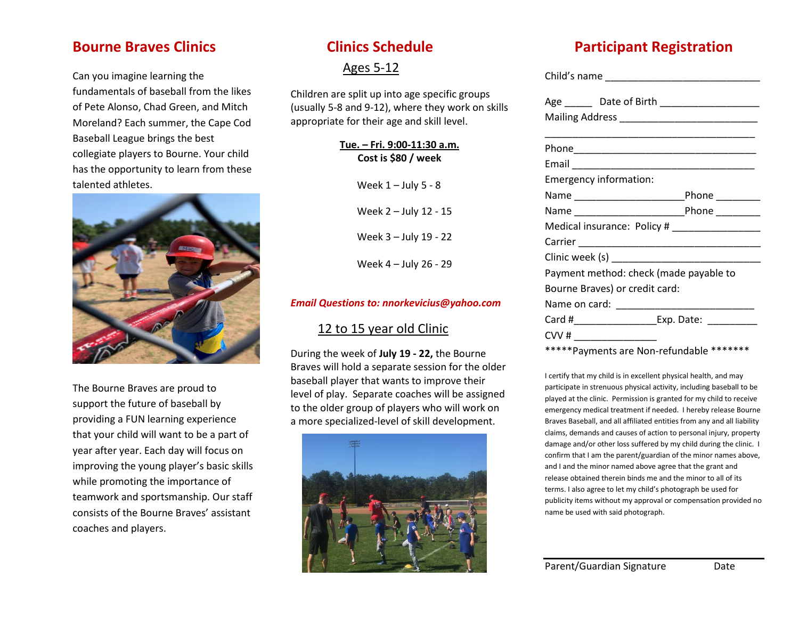### **Bourne Braves Clinics**

Can you imagine learning the fundamentals of baseball from the likes of Pete Alonso, Chad Green, and Mitch Moreland? Each summer, the Cape Cod Baseball League brings the best collegiate players to Bourne. Your child has the opportunity to learn from these talented athletes.



The Bourne Braves are proud to support the future of baseball by providing a FUN learning experience that your child will want to be a part of year after year. Each day will focus on improving the young player's basic skills while promoting the importance of teamwork and sportsmanship. Our staff consists of the Bourne Braves' assistant coaches and players.

# **Clinics Schedule**

### Ages 5-12

Children are split up into age specific groups (usually 5-8 and 9-12), where they work on skills appropriate for their age and skill level.

> **Tue. – Fri. 9:00-11:30 a.m. Cost is \$80 / week**

> > Week  $1 -$  July 5 - 8

Week 2 – July 12 - 15

Week 3 – July 19 - 22

Week 4 – July 26 - 29

#### *Email Questions to: nnorkevicius@yahoo.com*

### 12 to 15 year old Clinic

During the week of **July 19 - 22,** the Bourne Braves will hold a separate session for the older baseball player that wants to improve their level of play. Separate coaches will be assigned to the older group of players who will work on a more specialized-level of skill development.



# **Participant Registration**

| Emergency information:                        |  |
|-----------------------------------------------|--|
|                                               |  |
|                                               |  |
| Medical insurance: Policy # _________________ |  |
|                                               |  |
|                                               |  |
| Payment method: check (made payable to        |  |
| Bourne Braves) or credit card:                |  |
|                                               |  |
|                                               |  |
|                                               |  |

\*\*\*\*\*Payments are Non-refundable \*\*\*\*\*\*\*

I certify that my child is in excellent physical health, and may participate in strenuous physical activity, including baseball to be played at the clinic. Permission is granted for my child to receive emergency medical treatment if needed. I hereby release Bourne Braves Baseball, and all affiliated entities from any and all liability claims, demands and causes of action to personal injury, property damage and/or other loss suffered by my child during the clinic. I confirm that I am the parent/guardian of the minor names above, and I and the minor named above agree that the grant and release obtained therein binds me and the minor to all of its terms. I also agree to let my child's photograph be used for publicity items without my approval or compensation provided no name be used with said photograph.